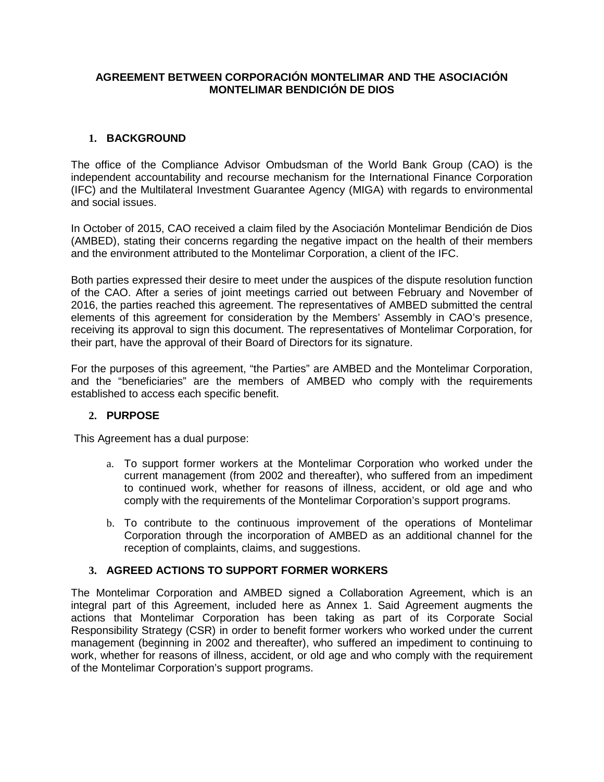# **AGREEMENT BETWEEN CORPORACIÓN MONTELIMAR AND THE ASOCIACIÓN MONTELIMAR BENDICIÓN DE DIOS**

# **1. BACKGROUND**

The office of the Compliance Advisor Ombudsman of the World Bank Group (CAO) is the independent accountability and recourse mechanism for the International Finance Corporation (IFC) and the Multilateral Investment Guarantee Agency (MIGA) with regards to environmental and social issues.

In October of 2015, CAO received a claim filed by the Asociación Montelimar Bendición de Dios (AMBED), stating their concerns regarding the negative impact on the health of their members and the environment attributed to the Montelimar Corporation, a client of the IFC.

Both parties expressed their desire to meet under the auspices of the dispute resolution function of the CAO. After a series of joint meetings carried out between February and November of 2016, the parties reached this agreement. The representatives of AMBED submitted the central elements of this agreement for consideration by the Members' Assembly in CAO's presence, receiving its approval to sign this document. The representatives of Montelimar Corporation, for their part, have the approval of their Board of Directors for its signature.

For the purposes of this agreement, "the Parties" are AMBED and the Montelimar Corporation, and the "beneficiaries" are the members of AMBED who comply with the requirements established to access each specific benefit.

# **2. PURPOSE**

This Agreement has a dual purpose:

- a. To support former workers at the Montelimar Corporation who worked under the current management (from 2002 and thereafter), who suffered from an impediment to continued work, whether for reasons of illness, accident, or old age and who comply with the requirements of the Montelimar Corporation's support programs.
- b. To contribute to the continuous improvement of the operations of Montelimar Corporation through the incorporation of AMBED as an additional channel for the reception of complaints, claims, and suggestions.

# **3. AGREED ACTIONS TO SUPPORT FORMER WORKERS**

The Montelimar Corporation and AMBED signed a Collaboration Agreement, which is an integral part of this Agreement, included here as Annex 1. Said Agreement augments the actions that Montelimar Corporation has been taking as part of its Corporate Social Responsibility Strategy (CSR) in order to benefit former workers who worked under the current management (beginning in 2002 and thereafter), who suffered an impediment to continuing to work, whether for reasons of illness, accident, or old age and who comply with the requirement of the Montelimar Corporation's support programs.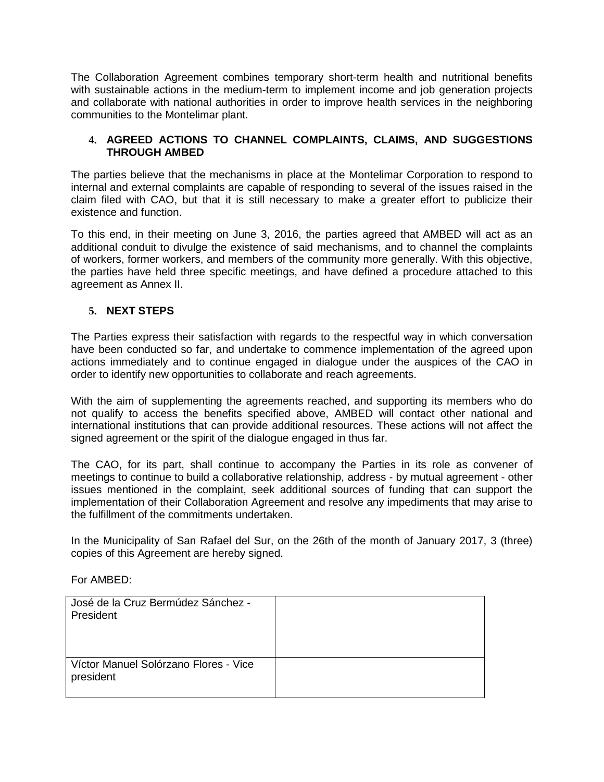The Collaboration Agreement combines temporary short-term health and nutritional benefits with sustainable actions in the medium-term to implement income and job generation projects and collaborate with national authorities in order to improve health services in the neighboring communities to the Montelimar plant.

# **4. AGREED ACTIONS TO CHANNEL COMPLAINTS, CLAIMS, AND SUGGESTIONS THROUGH AMBED**

The parties believe that the mechanisms in place at the Montelimar Corporation to respond to internal and external complaints are capable of responding to several of the issues raised in the claim filed with CAO, but that it is still necessary to make a greater effort to publicize their existence and function.

To this end, in their meeting on June 3, 2016, the parties agreed that AMBED will act as an additional conduit to divulge the existence of said mechanisms, and to channel the complaints of workers, former workers, and members of the community more generally. With this objective, the parties have held three specific meetings, and have defined a procedure attached to this agreement as Annex II.

# **5. NEXT STEPS**

The Parties express their satisfaction with regards to the respectful way in which conversation have been conducted so far, and undertake to commence implementation of the agreed upon actions immediately and to continue engaged in dialogue under the auspices of the CAO in order to identify new opportunities to collaborate and reach agreements.

With the aim of supplementing the agreements reached, and supporting its members who do not qualify to access the benefits specified above, AMBED will contact other national and international institutions that can provide additional resources. These actions will not affect the signed agreement or the spirit of the dialogue engaged in thus far.

The CAO, for its part, shall continue to accompany the Parties in its role as convener of meetings to continue to build a collaborative relationship, address - by mutual agreement - other issues mentioned in the complaint, seek additional sources of funding that can support the implementation of their Collaboration Agreement and resolve any impediments that may arise to the fulfillment of the commitments undertaken.

In the Municipality of San Rafael del Sur, on the 26th of the month of January 2017, 3 (three) copies of this Agreement are hereby signed.

For AMBED:

| José de la Cruz Bermúdez Sánchez -<br>President    |  |
|----------------------------------------------------|--|
| Víctor Manuel Solórzano Flores - Vice<br>president |  |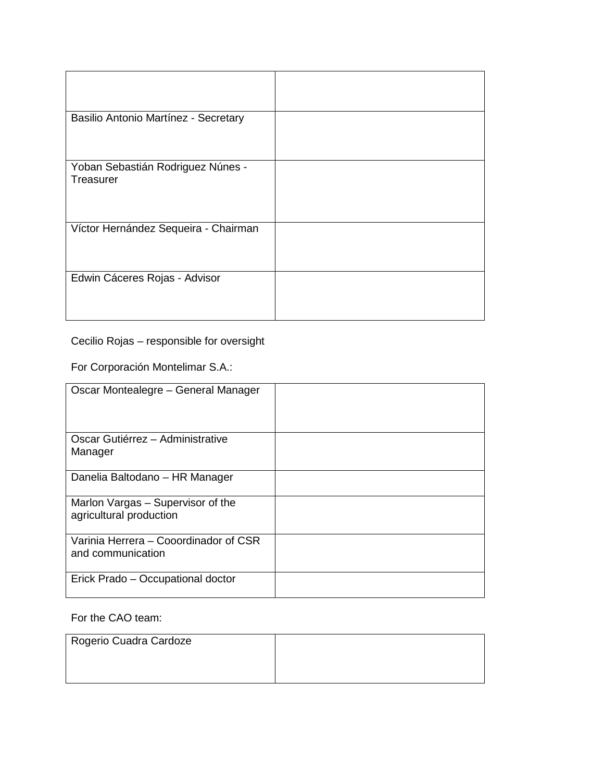| Basilio Antonio Martínez - Secretary |  |
|--------------------------------------|--|
|                                      |  |
|                                      |  |
|                                      |  |
|                                      |  |
| Yoban Sebastián Rodriguez Núnes -    |  |
| Treasurer                            |  |
|                                      |  |
|                                      |  |
|                                      |  |
|                                      |  |
| Víctor Hernández Sequeira - Chairman |  |
|                                      |  |
|                                      |  |
|                                      |  |
|                                      |  |
| Edwin Cáceres Rojas - Advisor        |  |
|                                      |  |
|                                      |  |
|                                      |  |
|                                      |  |

Cecilio Rojas – responsible for oversight

For Corporación Montelimar S.A.:

| Oscar Montealegre - General Manager                          |  |
|--------------------------------------------------------------|--|
| Oscar Gutiérrez - Administrative<br>Manager                  |  |
| Danelia Baltodano – HR Manager                               |  |
| Marlon Vargas – Supervisor of the<br>agricultural production |  |
| Varinia Herrera - Cooordinador of CSR<br>and communication   |  |
| Erick Prado - Occupational doctor                            |  |

# For the CAO team:

| Rogerio Cuadra Cardoze |  |
|------------------------|--|
|                        |  |
|                        |  |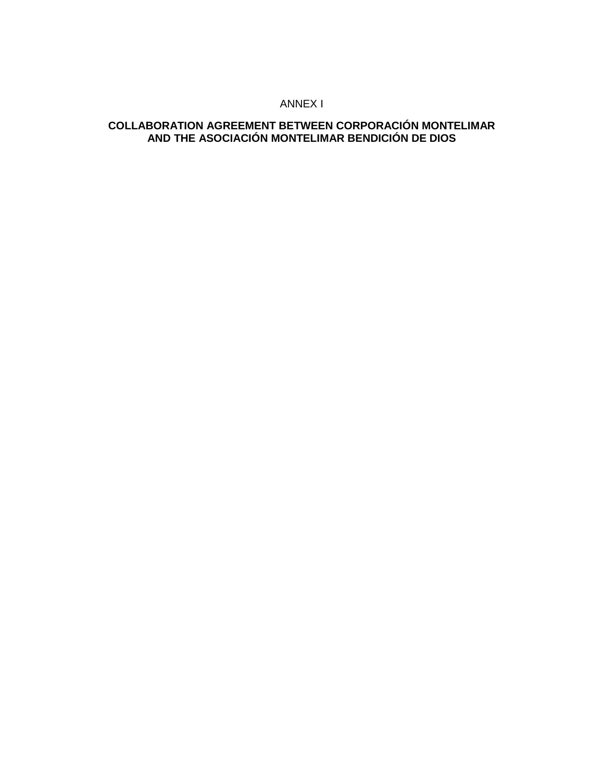### ANNEX I

# **COLLABORATION AGREEMENT BETWEEN CORPORACIÓN MONTELIMAR AND THE ASOCIACIÓN MONTELIMAR BENDICIÓN DE DIOS**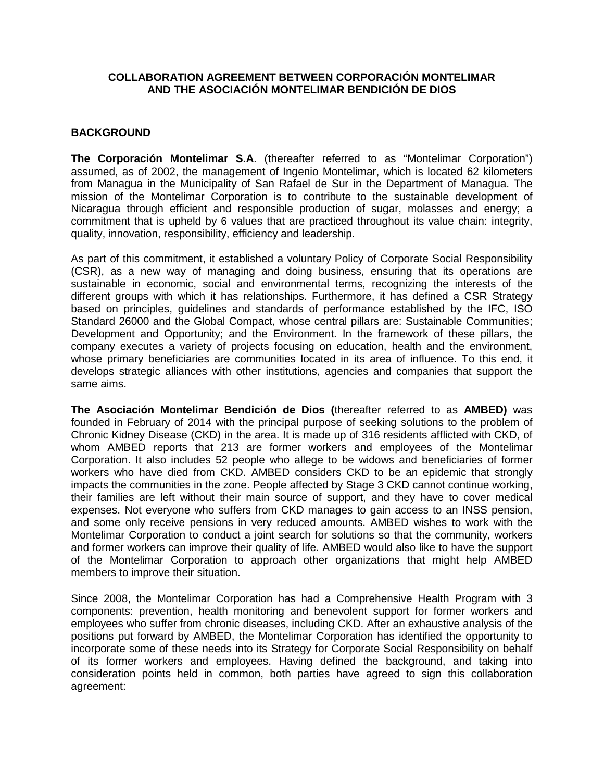# **COLLABORATION AGREEMENT BETWEEN CORPORACIÓN MONTELIMAR AND THE ASOCIACIÓN MONTELIMAR BENDICIÓN DE DIOS**

#### **BACKGROUND**

**The Corporación Montelimar S.A**. (thereafter referred to as "Montelimar Corporation") assumed, as of 2002, the management of Ingenio Montelimar, which is located 62 kilometers from Managua in the Municipality of San Rafael de Sur in the Department of Managua. The mission of the Montelimar Corporation is to contribute to the sustainable development of Nicaragua through efficient and responsible production of sugar, molasses and energy; a commitment that is upheld by 6 values that are practiced throughout its value chain: integrity, quality, innovation, responsibility, efficiency and leadership.

As part of this commitment, it established a voluntary Policy of Corporate Social Responsibility (CSR), as a new way of managing and doing business, ensuring that its operations are sustainable in economic, social and environmental terms, recognizing the interests of the different groups with which it has relationships. Furthermore, it has defined a CSR Strategy based on principles, guidelines and standards of performance established by the IFC, ISO Standard 26000 and the Global Compact, whose central pillars are: Sustainable Communities; Development and Opportunity; and the Environment. In the framework of these pillars, the company executes a variety of projects focusing on education, health and the environment, whose primary beneficiaries are communities located in its area of influence. To this end, it develops strategic alliances with other institutions, agencies and companies that support the same aims.

**The Asociación Montelimar Bendición de Dios (**thereafter referred to as **AMBED)** was founded in February of 2014 with the principal purpose of seeking solutions to the problem of Chronic Kidney Disease (CKD) in the area. It is made up of 316 residents afflicted with CKD, of whom AMBED reports that 213 are former workers and employees of the Montelimar Corporation. It also includes 52 people who allege to be widows and beneficiaries of former workers who have died from CKD. AMBED considers CKD to be an epidemic that strongly impacts the communities in the zone. People affected by Stage 3 CKD cannot continue working, their families are left without their main source of support, and they have to cover medical expenses. Not everyone who suffers from CKD manages to gain access to an INSS pension, and some only receive pensions in very reduced amounts. AMBED wishes to work with the Montelimar Corporation to conduct a joint search for solutions so that the community, workers and former workers can improve their quality of life. AMBED would also like to have the support of the Montelimar Corporation to approach other organizations that might help AMBED members to improve their situation.

Since 2008, the Montelimar Corporation has had a Comprehensive Health Program with 3 components: prevention, health monitoring and benevolent support for former workers and employees who suffer from chronic diseases, including CKD. After an exhaustive analysis of the positions put forward by AMBED, the Montelimar Corporation has identified the opportunity to incorporate some of these needs into its Strategy for Corporate Social Responsibility on behalf of its former workers and employees. Having defined the background, and taking into consideration points held in common, both parties have agreed to sign this collaboration agreement: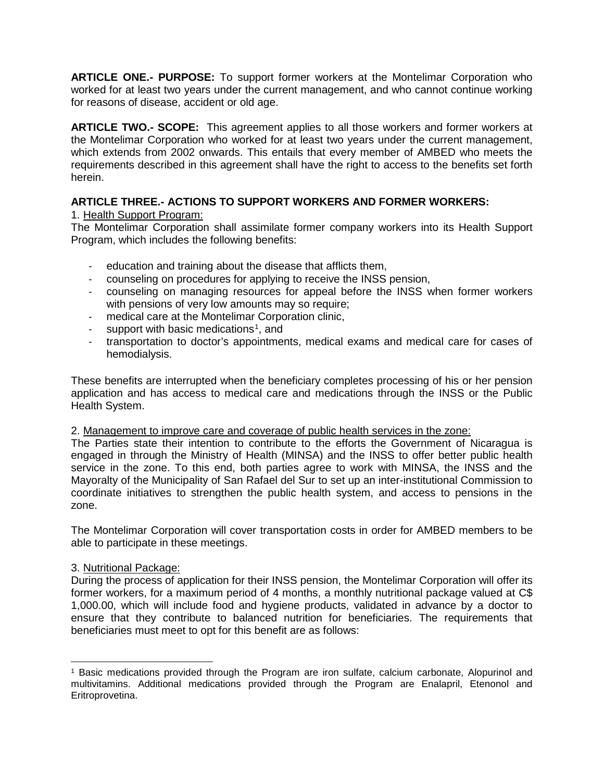**ARTICLE ONE.- PURPOSE:** To support former workers at the Montelimar Corporation who worked for at least two years under the current management, and who cannot continue working for reasons of disease, accident or old age.

**ARTICLE TWO.- SCOPE:** This agreement applies to all those workers and former workers at the Montelimar Corporation who worked for at least two years under the current management, which extends from 2002 onwards. This entails that every member of AMBED who meets the requirements described in this agreement shall have the right to access to the benefits set forth herein.

# **ARTICLE THREE.- ACTIONS TO SUPPORT WORKERS AND FORMER WORKERS:**

# 1. Health Support Program:

The Montelimar Corporation shall assimilate former company workers into its Health Support Program, which includes the following benefits:

- education and training about the disease that afflicts them,
- counseling on procedures for applying to receive the INSS pension,
- counseling on managing resources for appeal before the INSS when former workers with pensions of very low amounts may so require;
- medical care at the Montelimar Corporation clinic,
- support with basic medications<sup>[1](#page-5-0)</sup>, and
- transportation to doctor's appointments, medical exams and medical care for cases of hemodialysis.

These benefits are interrupted when the beneficiary completes processing of his or her pension application and has access to medical care and medications through the INSS or the Public Health System.

#### 2. Management to improve care and coverage of public health services in the zone:

The Parties state their intention to contribute to the efforts the Government of Nicaragua is engaged in through the Ministry of Health (MINSA) and the INSS to offer better public health service in the zone. To this end, both parties agree to work with MINSA, the INSS and the Mayoralty of the Municipality of San Rafael del Sur to set up an inter-institutional Commission to coordinate initiatives to strengthen the public health system, and access to pensions in the zone.

The Montelimar Corporation will cover transportation costs in order for AMBED members to be able to participate in these meetings.

#### 3. Nutritional Package:

During the process of application for their INSS pension, the Montelimar Corporation will offer its former workers, for a maximum period of 4 months, a monthly nutritional package valued at C\$ 1,000.00, which will include food and hygiene products, validated in advance by a doctor to ensure that they contribute to balanced nutrition for beneficiaries. The requirements that beneficiaries must meet to opt for this benefit are as follows:

<span id="page-5-0"></span><sup>1</sup> Basic medications provided through the Program are iron sulfate, calcium carbonate, Alopurinol and multivitamins. Additional medications provided through the Program are Enalapril, Etenonol and Eritroprovetina.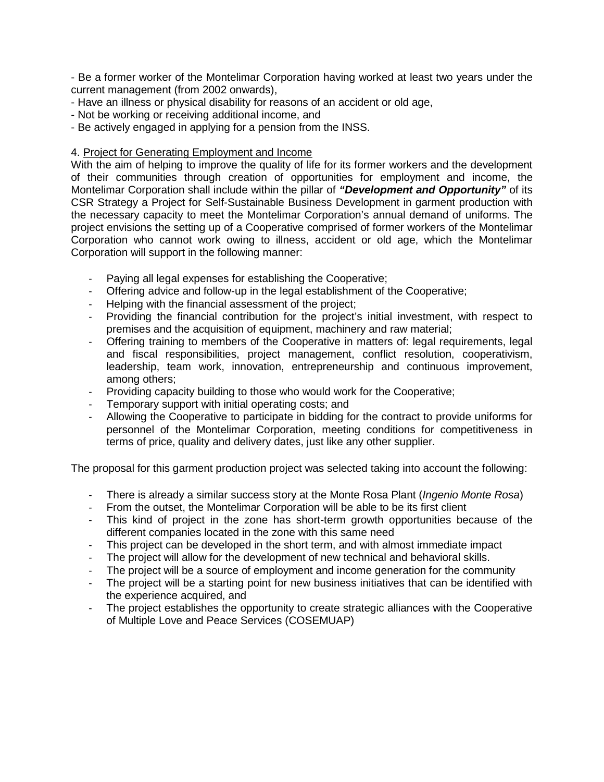- Be a former worker of the Montelimar Corporation having worked at least two years under the current management (from 2002 onwards),

- Have an illness or physical disability for reasons of an accident or old age,
- Not be working or receiving additional income, and
- Be actively engaged in applying for a pension from the INSS.

#### 4. Project for Generating Employment and Income

With the aim of helping to improve the quality of life for its former workers and the development of their communities through creation of opportunities for employment and income, the Montelimar Corporation shall include within the pillar of *"Development and Opportunity"* of its CSR Strategy a Project for Self-Sustainable Business Development in garment production with the necessary capacity to meet the Montelimar Corporation's annual demand of uniforms. The project envisions the setting up of a Cooperative comprised of former workers of the Montelimar Corporation who cannot work owing to illness, accident or old age, which the Montelimar Corporation will support in the following manner:

- Paying all legal expenses for establishing the Cooperative;
- Offering advice and follow-up in the legal establishment of the Cooperative;<br>- Helping with the financial assessment of the project:
- Helping with the financial assessment of the project;
- Providing the financial contribution for the project's initial investment, with respect to premises and the acquisition of equipment, machinery and raw material;
- Offering training to members of the Cooperative in matters of: legal requirements, legal and fiscal responsibilities, project management, conflict resolution, cooperativism, leadership, team work, innovation, entrepreneurship and continuous improvement, among others;
- Providing capacity building to those who would work for the Cooperative;
- Temporary support with initial operating costs; and
- Allowing the Cooperative to participate in bidding for the contract to provide uniforms for personnel of the Montelimar Corporation, meeting conditions for competitiveness in terms of price, quality and delivery dates, just like any other supplier.

The proposal for this garment production project was selected taking into account the following:

- There is already a similar success story at the Monte Rosa Plant (*Ingenio Monte Rosa*)
- From the outset, the Montelimar Corporation will be able to be its first client
- This kind of project in the zone has short-term growth opportunities because of the different companies located in the zone with this same need
- This project can be developed in the short term, and with almost immediate impact
- The project will allow for the development of new technical and behavioral skills.<br>- The project will be a source of employment and income generation for the comm
- The project will be a source of employment and income generation for the community
- The project will be a starting point for new business initiatives that can be identified with the experience acquired, and
- The project establishes the opportunity to create strategic alliances with the Cooperative of Multiple Love and Peace Services (COSEMUAP)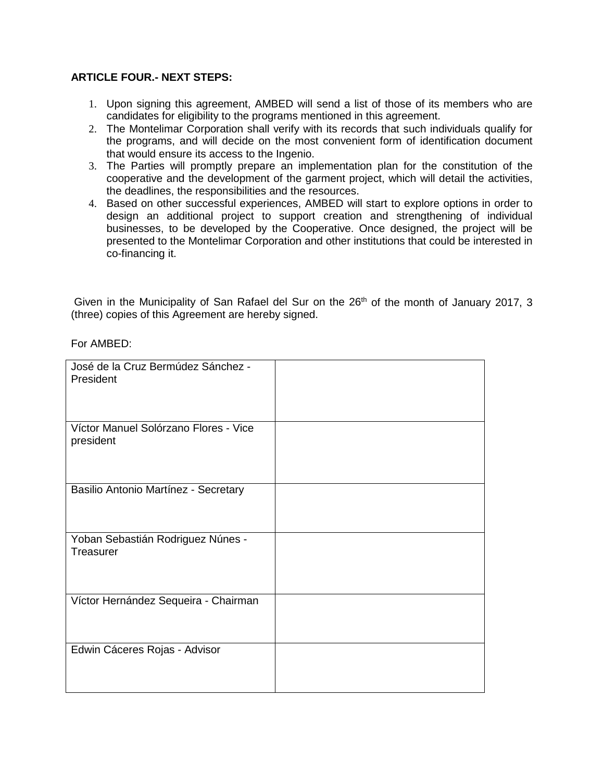# **ARTICLE FOUR.- NEXT STEPS:**

- 1. Upon signing this agreement, AMBED will send a list of those of its members who are candidates for eligibility to the programs mentioned in this agreement.
- 2. The Montelimar Corporation shall verify with its records that such individuals qualify for the programs, and will decide on the most convenient form of identification document that would ensure its access to the Ingenio.
- 3. The Parties will promptly prepare an implementation plan for the constitution of the cooperative and the development of the garment project, which will detail the activities, the deadlines, the responsibilities and the resources.
- 4. Based on other successful experiences, AMBED will start to explore options in order to design an additional project to support creation and strengthening of individual businesses, to be developed by the Cooperative. Once designed, the project will be presented to the Montelimar Corporation and other institutions that could be interested in co-financing it.

Given in the Municipality of San Rafael del Sur on the 26<sup>th</sup> of the month of January 2017, 3 (three) copies of this Agreement are hereby signed.

For AMBED:

| José de la Cruz Bermúdez Sánchez -<br>President    |  |
|----------------------------------------------------|--|
| Víctor Manuel Solórzano Flores - Vice<br>president |  |
| Basilio Antonio Martínez - Secretary               |  |
| Yoban Sebastián Rodriguez Núnes -<br>Treasurer     |  |
| Víctor Hernández Sequeira - Chairman               |  |
| Edwin Cáceres Rojas - Advisor                      |  |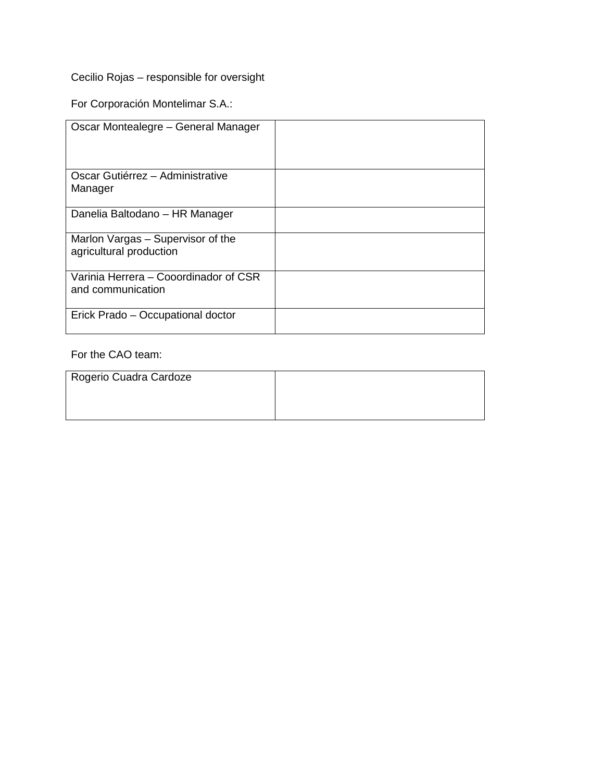Cecilio Rojas – responsible for oversight

For Corporación Montelimar S.A.:

| Oscar Montealegre - General Manager                          |  |
|--------------------------------------------------------------|--|
| Oscar Gutiérrez - Administrative<br>Manager                  |  |
| Danelia Baltodano – HR Manager                               |  |
| Marlon Vargas - Supervisor of the<br>agricultural production |  |
| Varinia Herrera - Cooordinador of CSR<br>and communication   |  |
| Erick Prado - Occupational doctor                            |  |

# For the CAO team:

| Rogerio Cuadra Cardoze |  |
|------------------------|--|
|                        |  |
|                        |  |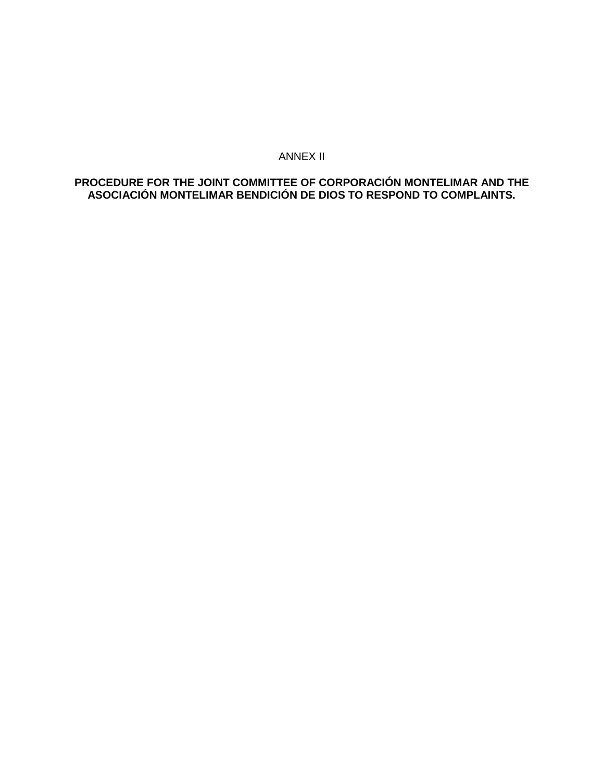### ANNEX II

# **PROCEDURE FOR THE JOINT COMMITTEE OF CORPORACIÓN MONTELIMAR AND THE ASOCIACIÓN MONTELIMAR BENDICIÓN DE DIOS TO RESPOND TO COMPLAINTS.**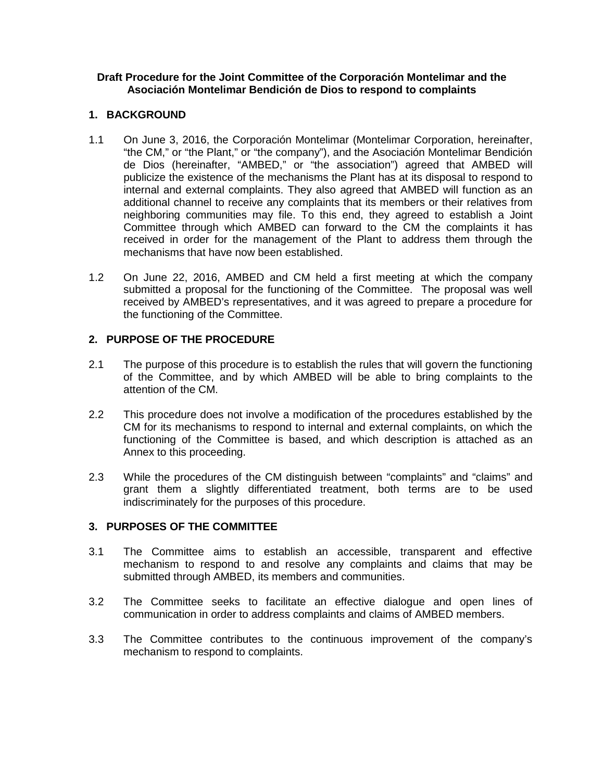#### **Draft Procedure for the Joint Committee of the Corporación Montelimar and the Asociación Montelimar Bendición de Dios to respond to complaints**

# **1. BACKGROUND**

- 1.1 On June 3, 2016, the Corporación Montelimar (Montelimar Corporation, hereinafter, "the CM," or "the Plant," or "the company"), and the Asociación Montelimar Bendición de Dios (hereinafter, "AMBED," or "the association") agreed that AMBED will publicize the existence of the mechanisms the Plant has at its disposal to respond to internal and external complaints. They also agreed that AMBED will function as an additional channel to receive any complaints that its members or their relatives from neighboring communities may file. To this end, they agreed to establish a Joint Committee through which AMBED can forward to the CM the complaints it has received in order for the management of the Plant to address them through the mechanisms that have now been established.
- 1.2 On June 22, 2016, AMBED and CM held a first meeting at which the company submitted a proposal for the functioning of the Committee. The proposal was well received by AMBED's representatives, and it was agreed to prepare a procedure for the functioning of the Committee.

# **2. PURPOSE OF THE PROCEDURE**

- 2.1 The purpose of this procedure is to establish the rules that will govern the functioning of the Committee, and by which AMBED will be able to bring complaints to the attention of the CM.
- 2.2 This procedure does not involve a modification of the procedures established by the CM for its mechanisms to respond to internal and external complaints, on which the functioning of the Committee is based, and which description is attached as an Annex to this proceeding.
- 2.3 While the procedures of the CM distinguish between "complaints" and "claims" and grant them a slightly differentiated treatment, both terms are to be used indiscriminately for the purposes of this procedure.

# **3. PURPOSES OF THE COMMITTEE**

- 3.1 The Committee aims to establish an accessible, transparent and effective mechanism to respond to and resolve any complaints and claims that may be submitted through AMBED, its members and communities.
- 3.2 The Committee seeks to facilitate an effective dialogue and open lines of communication in order to address complaints and claims of AMBED members.
- 3.3 The Committee contributes to the continuous improvement of the company's mechanism to respond to complaints.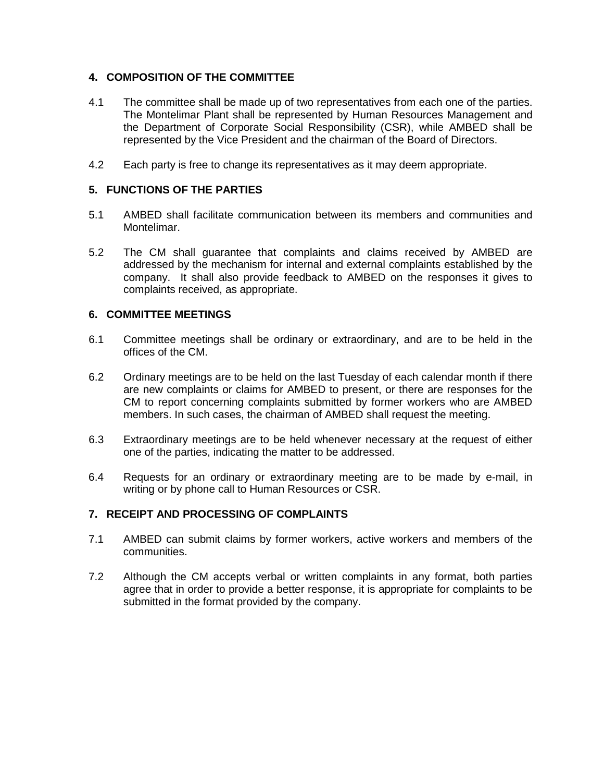# **4. COMPOSITION OF THE COMMITTEE**

- 4.1 The committee shall be made up of two representatives from each one of the parties. The Montelimar Plant shall be represented by Human Resources Management and the Department of Corporate Social Responsibility (CSR), while AMBED shall be represented by the Vice President and the chairman of the Board of Directors.
- 4.2 Each party is free to change its representatives as it may deem appropriate.

# **5. FUNCTIONS OF THE PARTIES**

- 5.1 AMBED shall facilitate communication between its members and communities and Montelimar.
- 5.2 The CM shall guarantee that complaints and claims received by AMBED are addressed by the mechanism for internal and external complaints established by the company. It shall also provide feedback to AMBED on the responses it gives to complaints received, as appropriate.

#### **6. COMMITTEE MEETINGS**

- 6.1 Committee meetings shall be ordinary or extraordinary, and are to be held in the offices of the CM.
- 6.2 Ordinary meetings are to be held on the last Tuesday of each calendar month if there are new complaints or claims for AMBED to present, or there are responses for the CM to report concerning complaints submitted by former workers who are AMBED members. In such cases, the chairman of AMBED shall request the meeting.
- 6.3 Extraordinary meetings are to be held whenever necessary at the request of either one of the parties, indicating the matter to be addressed.
- 6.4 Requests for an ordinary or extraordinary meeting are to be made by e-mail, in writing or by phone call to Human Resources or CSR.

#### **7. RECEIPT AND PROCESSING OF COMPLAINTS**

- 7.1 AMBED can submit claims by former workers, active workers and members of the communities.
- 7.2 Although the CM accepts verbal or written complaints in any format, both parties agree that in order to provide a better response, it is appropriate for complaints to be submitted in the format provided by the company.